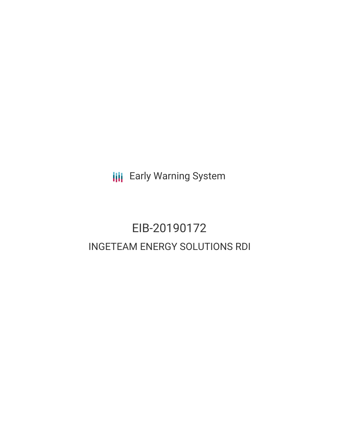**III** Early Warning System

## EIB-20190172 INGETEAM ENERGY SOLUTIONS RDI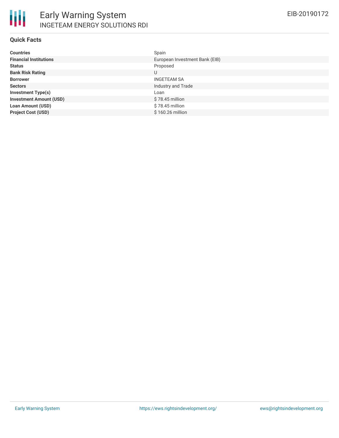### **Quick Facts**

| <b>Countries</b>               | Spain                          |
|--------------------------------|--------------------------------|
| <b>Financial Institutions</b>  | European Investment Bank (EIB) |
| <b>Status</b>                  | Proposed                       |
| <b>Bank Risk Rating</b>        | U                              |
| <b>Borrower</b>                | <b>INGETEAM SA</b>             |
| <b>Sectors</b>                 | Industry and Trade             |
| <b>Investment Type(s)</b>      | Loan                           |
| <b>Investment Amount (USD)</b> | $$78.45$ million               |
| <b>Loan Amount (USD)</b>       | \$78.45 million                |
| <b>Project Cost (USD)</b>      | \$160.26 million               |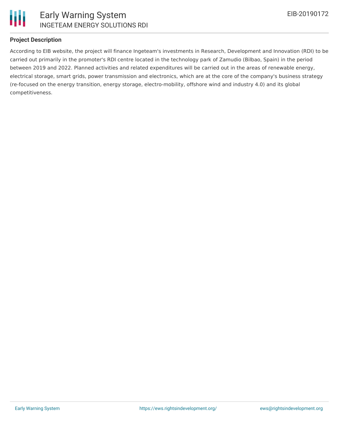

### **Project Description**

According to EIB website, the project will finance Ingeteam's investments in Research, Development and Innovation (RDI) to be carried out primarily in the promoter's RDI centre located in the technology park of Zamudio (Bilbao, Spain) in the period between 2019 and 2022. Planned activities and related expenditures will be carried out in the areas of renewable energy, electrical storage, smart grids, power transmission and electronics, which are at the core of the company's business strategy (re-focused on the energy transition, energy storage, electro-mobility, offshore wind and industry 4.0) and its global competitiveness.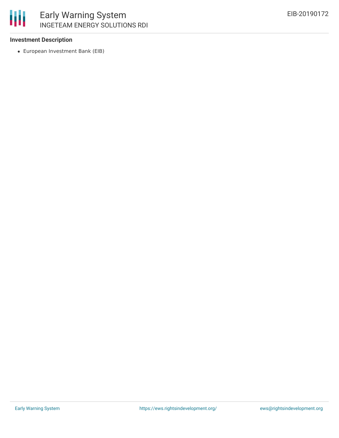### **Investment Description**

冊

European Investment Bank (EIB)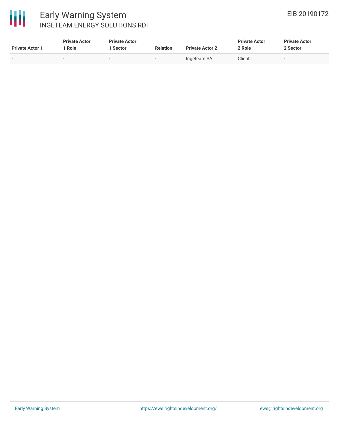

# 冊

### Early Warning System INGETEAM ENERGY SOLUTIONS RDI

| <b>Private Actor 1</b> | <b>Private Actor</b><br>Role | <b>Private Actor</b><br>Sector | <b>Relation</b> | <b>Private Actor 2</b> | <b>Private Actor</b><br>2 Role | <b>Private Actor</b><br>2 Sector |
|------------------------|------------------------------|--------------------------------|-----------------|------------------------|--------------------------------|----------------------------------|
| $\sim$                 | -                            |                                | $\sim$          | Ingeteam SA            | Client                         |                                  |